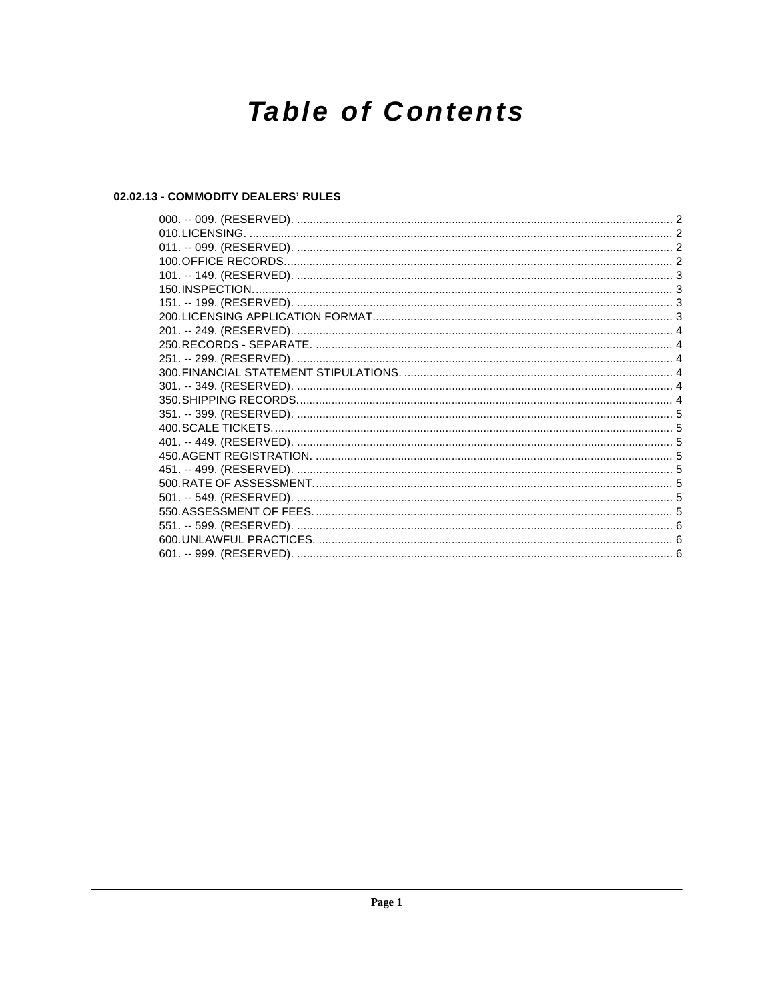# **Table of Contents**

# 02.02.13 - COMMODITY DEALERS' RULES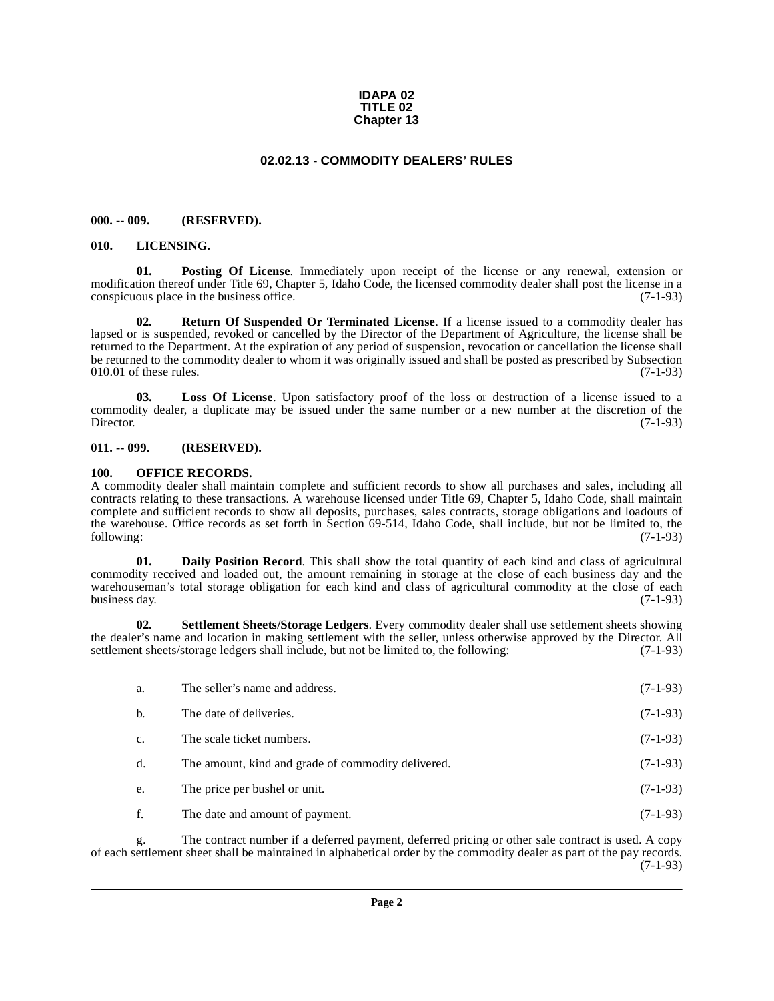#### **IDAPA 02 TITLE 02 Chapter 13**

### **02.02.13 - COMMODITY DEALERS' RULES**

#### <span id="page-1-1"></span><span id="page-1-0"></span>**000. -- 009. (RESERVED).**

#### <span id="page-1-6"></span><span id="page-1-2"></span>**010. LICENSING.**

<span id="page-1-9"></span>**01. Posting Of License**. Immediately upon receipt of the license or any renewal, extension or modification thereof under Title 69, Chapter 5, Idaho Code, the licensed commodity dealer shall post the license in a conspicuous place in the business office. (7-1-93)

<span id="page-1-10"></span>**02. Return Of Suspended Or Terminated License**. If a license issued to a commodity dealer has lapsed or is suspended, revoked or cancelled by the Director of the Department of Agriculture, the license shall be returned to the Department. At the expiration of any period of suspension, revocation or cancellation the license shall be returned to the commodity dealer to whom it was originally issued and shall be posted as prescribed by Subsection 010.01 of these rules.  $(7-1-93)$ 

<span id="page-1-7"></span>**03. Loss Of License**. Upon satisfactory proof of the loss or destruction of a license issued to a commodity dealer, a duplicate may be issued under the same number or a new number at the discretion of the Director. (7-1-93)

#### <span id="page-1-3"></span>**011. -- 099. (RESERVED).**

#### <span id="page-1-8"></span><span id="page-1-4"></span>**100. OFFICE RECORDS.**

A commodity dealer shall maintain complete and sufficient records to show all purchases and sales, including all contracts relating to these transactions. A warehouse licensed under Title 69, Chapter 5, Idaho Code, shall maintain complete and sufficient records to show all deposits, purchases, sales contracts, storage obligations and loadouts of the warehouse. Office records as set forth in Section 69-514, Idaho Code, shall include, but not be limited to, the following: (7-1-93)

<span id="page-1-5"></span>**01. Daily Position Record**. This shall show the total quantity of each kind and class of agricultural commodity received and loaded out, the amount remaining in storage at the close of each business day and the warehouseman's total storage obligation for each kind and class of agricultural commodity at the close of each<br>business day. (7-1-93) business day.  $(7-1-93)$ 

**02. Settlement Sheets/Storage Ledgers**. Every commodity dealer shall use settlement sheets showing the dealer's name and location in making settlement with the seller, unless otherwise approved by the Director. All settlement sheets/storage ledgers shall include, but not be limited to, the following: (7-1-93)

<span id="page-1-11"></span>

| a. | The seller's name and address.                     | $(7-1-93)$ |
|----|----------------------------------------------------|------------|
| b. | The date of deliveries.                            | $(7-1-93)$ |
| c. | The scale ticket numbers.                          | $(7-1-93)$ |
| d. | The amount, kind and grade of commodity delivered. | $(7-1-93)$ |
| e. | The price per bushel or unit.                      | $(7-1-93)$ |
| f. | The date and amount of payment.                    | $(7-1-93)$ |

g. The contract number if a deferred payment, deferred pricing or other sale contract is used. A copy of each settlement sheet shall be maintained in alphabetical order by the commodity dealer as part of the pay records.  $(7-1-93)$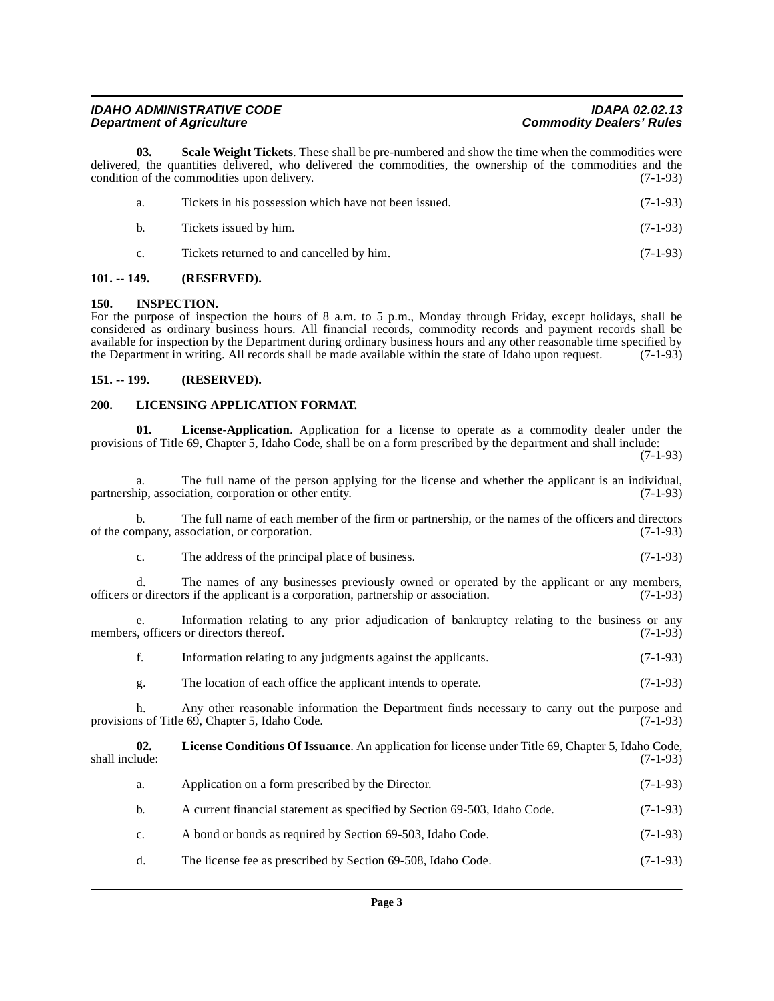| <b>IDAHO ADMINISTRATIVE CODE</b> | <b>IDAPA 02.02.13</b>           |
|----------------------------------|---------------------------------|
| <b>Department of Agriculture</b> | <b>Commodity Dealers' Rules</b> |

**03. Scale Weight Tickets**. These shall be pre-numbered and show the time when the commodities were delivered, the quantities delivered, who delivered the commodities, the ownership of the commodities and the condition of the commodities upon delivery. (7-1-93) condition of the commodities upon delivery.

<span id="page-2-8"></span>

| a. | Tickets in his possession which have not been issued. | $(7-1-93)$ |
|----|-------------------------------------------------------|------------|
|    | Tickets issued by him.                                | $(7-1-93)$ |
|    | Tickets returned to and cancelled by him.             | $(7-1-93)$ |

#### <span id="page-2-0"></span>**101. -- 149. (RESERVED).**

#### <span id="page-2-4"></span><span id="page-2-1"></span>**150. INSPECTION.**

For the purpose of inspection the hours of 8 a.m. to 5 p.m., Monday through Friday, except holidays, shall be considered as ordinary business hours. All financial records, commodity records and payment records shall be available for inspection by the Department during ordinary business hours and any other reasonable time specified by<br>the Department in writing. All records shall be made available within the state of Idaho upon request. (7 the Department in writing. All records shall be made available within the state of Idaho upon request.

#### <span id="page-2-2"></span>**151. -- 199. (RESERVED).**

#### <span id="page-2-7"></span><span id="page-2-3"></span>**200. LICENSING APPLICATION FORMAT.**

<span id="page-2-6"></span>**01. License-Application**. Application for a license to operate as a commodity dealer under the provisions of Title 69, Chapter 5, Idaho Code, shall be on a form prescribed by the department and shall include:

(7-1-93)

a. The full name of the person applying for the license and whether the applicant is an individual, in association, corporation or other entity. (7-1-93) partnership, association, corporation or other entity.

b. The full name of each member of the firm or partnership, or the names of the officers and directors mpany, association, or corporation. (7-1-93) of the company, association, or corporation.

c. The address of the principal place of business. (7-1-93)

d. The names of any businesses previously owned or operated by the applicant or any members, or directors if the applicant is a corporation, partnership or association. (7-1-93) officers or directors if the applicant is a corporation, partnership or association.

e. Information relating to any prior adjudication of bankruptcy relating to the business or any s, officers or directors thereof. (7-1-93) members, officers or directors thereof.

| Information relating to any judgments against the applicants. | $(7-1-93)$ |
|---------------------------------------------------------------|------------|
|                                                               |            |

g. The location of each office the applicant intends to operate. (7-1-93)

h. Any other reasonable information the Department finds necessary to carry out the purpose and us of Title 69. Chapter 5. Idaho Code. (7-1-93) provisions of Title 69, Chapter 5, Idaho Code.

**02. License Conditions Of Issuance**. An application for license under Title 69, Chapter 5, Idaho Code, shall include: (7-1-93)

<span id="page-2-5"></span>

|  | Application on a form prescribed by the Director. | $(7-1-93)$ |
|--|---------------------------------------------------|------------|
|--|---------------------------------------------------|------------|

- b. A current financial statement as specified by Section 69-503, Idaho Code. (7-1-93)
- c. A bond or bonds as required by Section 69-503, Idaho Code. (7-1-93)
- d. The license fee as prescribed by Section 69-508, Idaho Code. (7-1-93)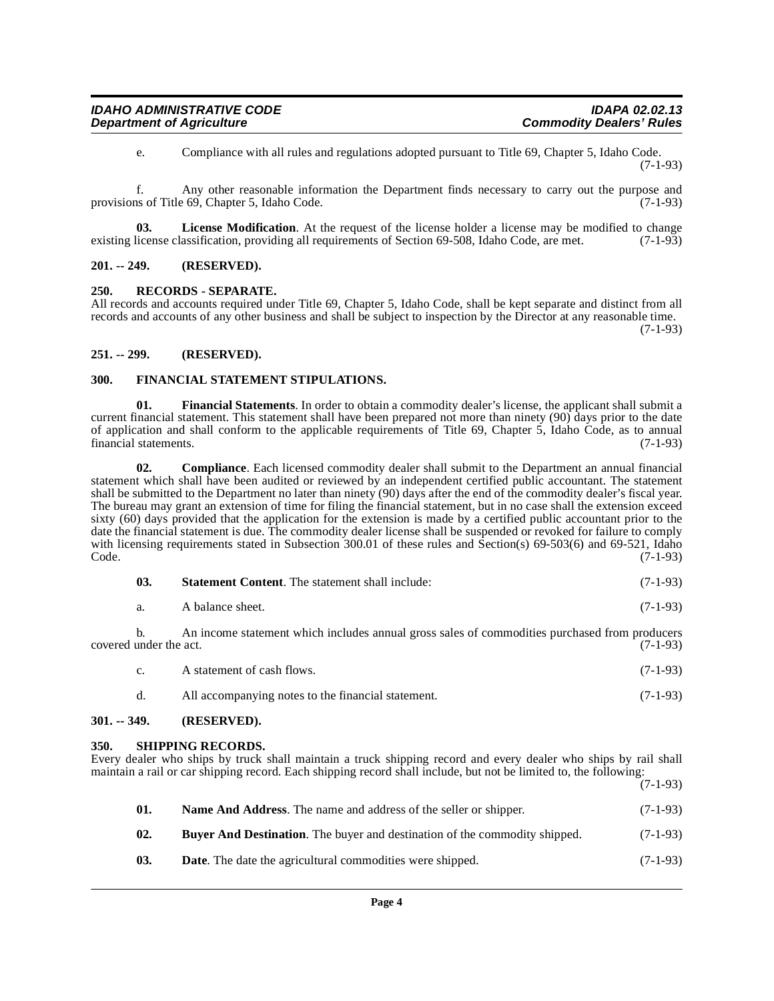<span id="page-3-11"></span>e. Compliance with all rules and regulations adopted pursuant to Title 69, Chapter 5, Idaho Code. (7-1-93)

f. Any other reasonable information the Department finds necessary to carry out the purpose and provisions of Title  $69$ , Chapter 5, Idaho Code.

**03. License Modification**. At the request of the license holder a license may be modified to change existing license classification, providing all requirements of Section 69-508, Idaho Code, are met. (7-1-93)

#### <span id="page-3-0"></span>**201. -- 249. (RESERVED).**

#### <span id="page-3-13"></span><span id="page-3-1"></span>**250. RECORDS - SEPARATE.**

All records and accounts required under Title 69, Chapter 5, Idaho Code, shall be kept separate and distinct from all records and accounts of any other business and shall be subject to inspection by the Director at any reasonable time.

(7-1-93)

(7-1-93)

#### <span id="page-3-2"></span>**251. -- 299. (RESERVED).**

#### <span id="page-3-9"></span><span id="page-3-3"></span>**300. FINANCIAL STATEMENT STIPULATIONS.**

<span id="page-3-10"></span>**01. Financial Statements**. In order to obtain a commodity dealer's license, the applicant shall submit a current financial statement. This statement shall have been prepared not more than ninety (90) days prior to the date of application and shall conform to the applicable requirements of Title 69, Chapter 5, Idaho Code, as to annual financial statements. (7-1-93)

<span id="page-3-7"></span>**02. Compliance**. Each licensed commodity dealer shall submit to the Department an annual financial statement which shall have been audited or reviewed by an independent certified public accountant. The statement shall be submitted to the Department no later than ninety (90) days after the end of the commodity dealer's fiscal year. The bureau may grant an extension of time for filing the financial statement, but in no case shall the extension exceed sixty (60) days provided that the application for the extension is made by a certified public accountant prior to the date the financial statement is due. The commodity dealer license shall be suspended or revoked for failure to comply with licensing requirements stated in Subsection 300.01 of these rules and Section(s) 69-503(6) and 69-521, Idaho Code. (7-1-93)  $\text{Code.}$  (7-1-93)

<span id="page-3-15"></span>

| 03.<br><b>Statement Content.</b> The statement shall include: | $(7-1-93)$ |  |
|---------------------------------------------------------------|------------|--|
|---------------------------------------------------------------|------------|--|

b. An income statement which includes annual gross sales of commodities purchased from producers under the act. (7-1-93) covered under the act.

- c. A statement of cash flows. (7-1-93)
- <span id="page-3-14"></span>d. All accompanying notes to the financial statement. (7-1-93)

#### <span id="page-3-4"></span>**301. -- 349. (RESERVED).**

#### <span id="page-3-5"></span>**350. SHIPPING RECORDS.**

Every dealer who ships by truck shall maintain a truck shipping record and every dealer who ships by rail shall maintain a rail or car shipping record. Each shipping record shall include, but not be limited to, the following:

<span id="page-3-12"></span><span id="page-3-8"></span><span id="page-3-6"></span>

| 01. | <b>Name And Address.</b> The name and address of the seller or shipper.           | $(7-1-93)$ |
|-----|-----------------------------------------------------------------------------------|------------|
| 02. | <b>Buver And Destination.</b> The buyer and destination of the commodity shipped. | $(7-1-93)$ |
| 03. | <b>Date.</b> The date the agricultural commodities were shipped.                  | $(7-1-93)$ |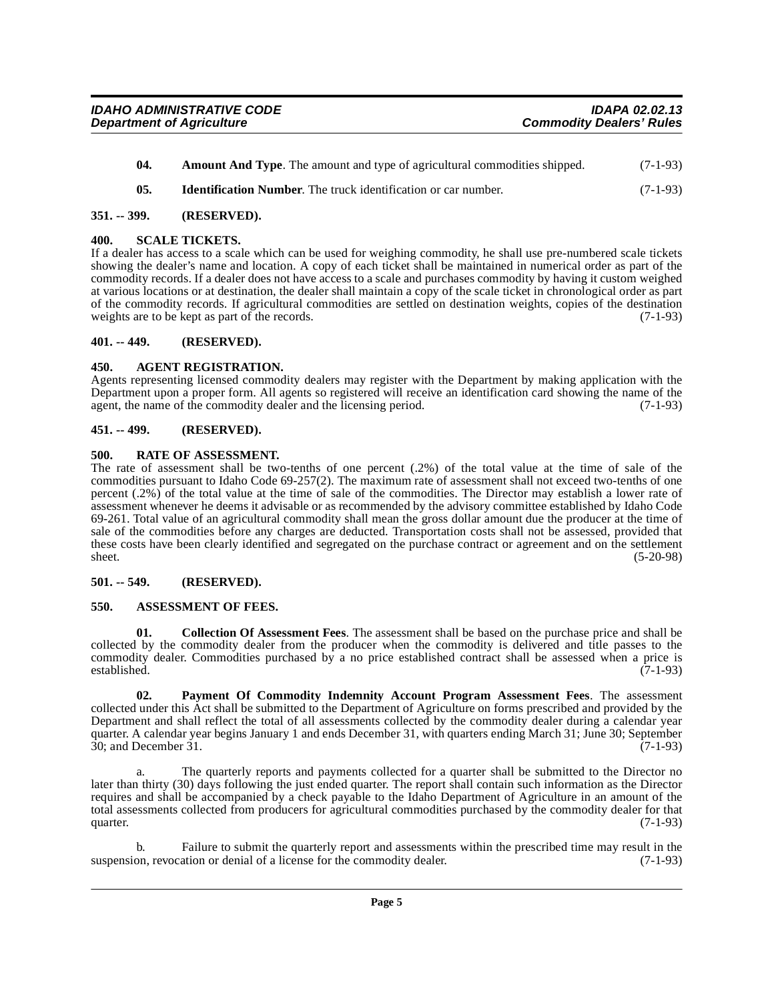- <span id="page-4-12"></span><span id="page-4-9"></span>**04.** Amount And Type. The amount and type of agricultural commodities shipped. (7-1-93)
- <span id="page-4-15"></span>**05. Identification Number**. The truck identification or car number. (7-1-93)

#### <span id="page-4-0"></span>**351. -- 399. (RESERVED).**

#### <span id="page-4-1"></span>**400. SCALE TICKETS.**

If a dealer has access to a scale which can be used for weighing commodity, he shall use pre-numbered scale tickets showing the dealer's name and location. A copy of each ticket shall be maintained in numerical order as part of the commodity records. If a dealer does not have access to a scale and purchases commodity by having it custom weighed at various locations or at destination, the dealer shall maintain a copy of the scale ticket in chronological order as part of the commodity records. If agricultural commodities are settled on destination weights, copies of the destination weights are to be kept as part of the records. (7-1-93)

#### <span id="page-4-2"></span>**401. -- 449. (RESERVED).**

### <span id="page-4-8"></span><span id="page-4-3"></span>**450. AGENT REGISTRATION.**

Agents representing licensed commodity dealers may register with the Department by making application with the Department upon a proper form. All agents so registered will receive an identification card showing the name of the agent, the name of the commodity dealer and the licensing period. (7-1-93)

#### <span id="page-4-4"></span>**451. -- 499. (RESERVED).**

#### <span id="page-4-14"></span><span id="page-4-5"></span>**500. RATE OF ASSESSMENT.**

The rate of assessment shall be two-tenths of one percent (.2%) of the total value at the time of sale of the commodities pursuant to Idaho Code 69-257(2). The maximum rate of assessment shall not exceed two-tenths of one percent (.2%) of the total value at the time of sale of the commodities. The Director may establish a lower rate of assessment whenever he deems it advisable or as recommended by the advisory committee established by Idaho Code 69-261. Total value of an agricultural commodity shall mean the gross dollar amount due the producer at the time of sale of the commodities before any charges are deducted. Transportation costs shall not be assessed, provided that these costs have been clearly identified and segregated on the purchase contract or agreement and on the settlement sheet. (5-20-98) sheet. (5-20-98)

#### <span id="page-4-6"></span>**501. -- 549. (RESERVED).**

### <span id="page-4-10"></span><span id="page-4-7"></span>**550. ASSESSMENT OF FEES.**

<span id="page-4-11"></span>**01. Collection Of Assessment Fees**. The assessment shall be based on the purchase price and shall be collected by the commodity dealer from the producer when the commodity is delivered and title passes to the commodity dealer. Commodities purchased by a no price established contract shall be assessed when a price is established. (7-1-93) established. (7-1-93)

<span id="page-4-13"></span>**02. Payment Of Commodity Indemnity Account Program Assessment Fees**. The assessment collected under this Act shall be submitted to the Department of Agriculture on forms prescribed and provided by the Department and shall reflect the total of all assessments collected by the commodity dealer during a calendar year quarter. A calendar year begins January 1 and ends December 31, with quarters ending March 31; June 30; September 30; and December 31. (7-1-93)

The quarterly reports and payments collected for a quarter shall be submitted to the Director no later than thirty (30) days following the just ended quarter. The report shall contain such information as the Director requires and shall be accompanied by a check payable to the Idaho Department of Agriculture in an amount of the total assessments collected from producers for agricultural commodities purchased by the commodity dealer for that quarter.  $(7-1-93)$ 

Failure to submit the quarterly report and assessments within the prescribed time may result in the ation or denial of a license for the commodity dealer. (7-1-93) suspension, revocation or denial of a license for the commodity dealer.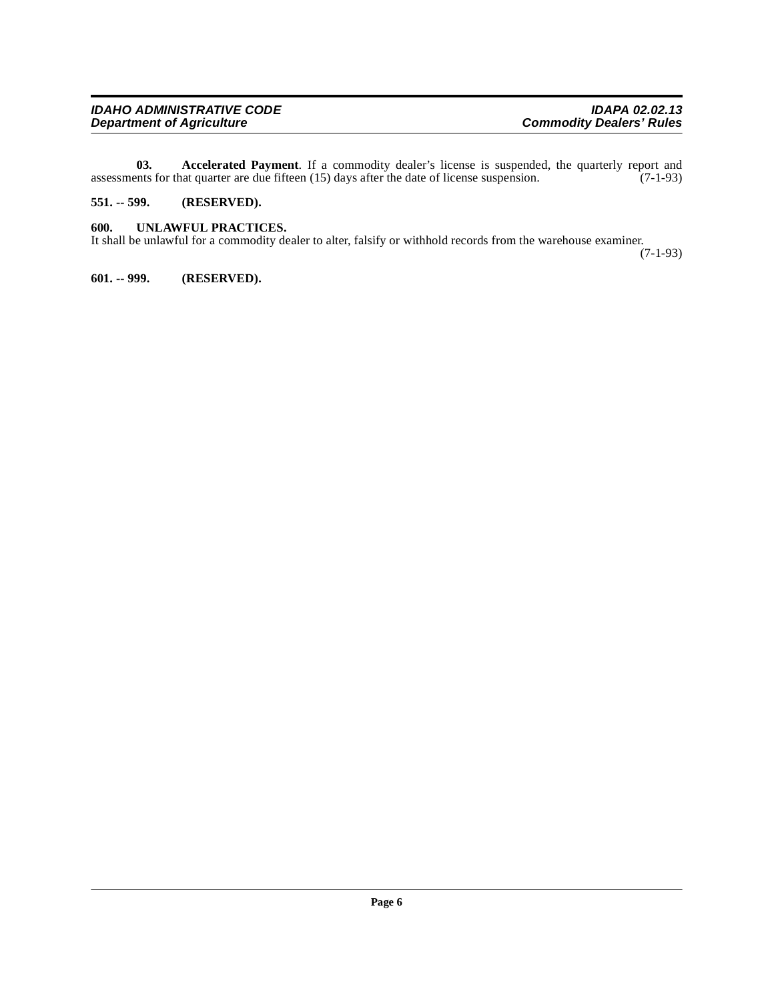| <b>IDAHO ADMINISTRATIVE CODE</b> | <b>IDAPA 02.02.13</b>           |
|----------------------------------|---------------------------------|
| <b>Department of Agriculture</b> | <b>Commodity Dealers' Rules</b> |

<span id="page-5-3"></span>**03.** Accelerated Payment. If a commodity dealer's license is suspended, the quarterly report and ents for that quarter are due fifteen (15) days after the date of license suspension. (7-1-93) assessments for that quarter are due fifteen (15) days after the date of license suspension.

# <span id="page-5-0"></span>**551. -- 599. (RESERVED).**

# <span id="page-5-4"></span><span id="page-5-1"></span>**600. UNLAWFUL PRACTICES.**

It shall be unlawful for a commodity dealer to alter, falsify or withhold records from the warehouse examiner.

(7-1-93)

<span id="page-5-2"></span>**601. -- 999. (RESERVED).**